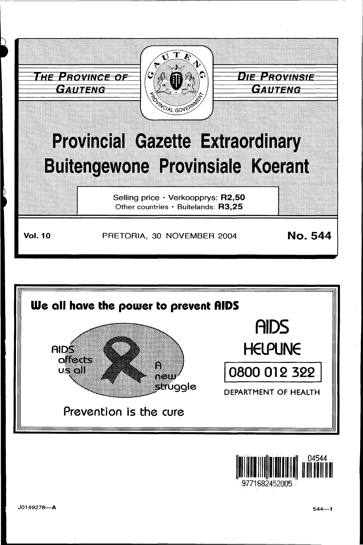



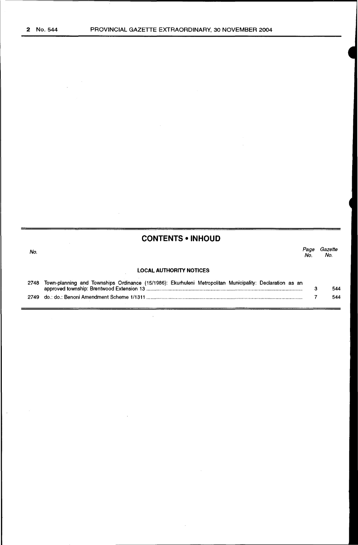$\ddot{\phantom{0}}$ 

# **CONTENTS • INHOUD**

| No. |                                | Page<br>No. | Gazette<br>No. |
|-----|--------------------------------|-------------|----------------|
|     | <b>LOCAL AUTHORITY NOTICES</b> |             |                |
|     |                                |             |                |

| 2748 Town-planning and Townships Ordinance (15/1986): Ekurhuleni Metropolitan Municipality: Declaration as an |     |
|---------------------------------------------------------------------------------------------------------------|-----|
|                                                                                                               | 544 |
|                                                                                                               | 544 |

 $\sim$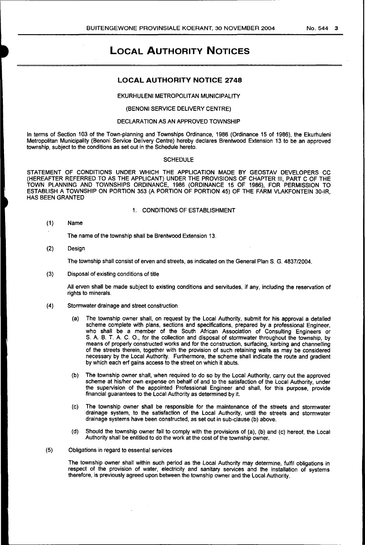## **LOCAL AUTHORITY NOTICE 2748**

## EKURHULENI METROPOLITAN MUNICIPALITY

## (BENONI SERVICE DELIVERY CENTRE)

## DECLARATION AS AN APPROVED TOWNSHIP

In terms of Section 103 of the Town-planning and Townships Ordinance, 1986 (Ordinance 15 of 1986), the Ekurhuleni Metropolitan Municipality (Benoni Service Delivery Centre) hereby declares Brentwood Extension 13 to be an approved township, subject to the conditions as set out in the Schedule hereto.

### **SCHEDULE**

STATEMENT OF CONDITIONS UNDER WHICH THE APPLICATION MADE BY GEOSTAV DEVELOPERS CC (HEREAFTER REFERRED TO AS THE APPLICANT) UNDER THE PROVISIONS OF CHAPTER Ill, PART C OF THE TOWN PLANNING AND TOWNSHIPS ORDINANCE, 1986 (ORDINANCE 15 OF 1986), FOR PERMISSION TO ESTABLISH A TOWNSHIP ON PORTION 353 (A PORTION OF PORTION 45) OF THE FARM VLAKFONTEIN 30-IR, HAS BEEN GRANTED

## 1. CONDITIONS OF ESTABLISHMENT

(1) Name

The name of the township shall be Brentwood Extension 13.

(2) Design

The township shall consist of erven and streets, as indicated on the General Plan S. G. 4837/2004.

(3) Disposal of existing conditions of title

All erven shall be made subject to existing conditions and servitudes, if any, including the reservation of rights to minerals.

- (4) Stormwater drainage and street construction
	- (a) The township owner shall, on request by the Local Authority, submit for his approval a detailed scheme complete with plans, sections and specifications, prepared by a professional Engineer, who shall be a member of the South African Association of Consulting Engineers or S. A. B. T. A. C. O., for the collection and disposal of stormwater throughout the township, by means of properly constructed works and for the construction, surfacing, kerbing and channelling of the streets therein, together with the provision of such retaining walls as may be considered necessary by the Local Authority. Furthermore, the scheme shall indicate the route and gradient by which each erf gains access to the street on which it abuts.
	- (b) The township owner shall, when required to do so by the Local Authority, carry out the approved scheme at his/her own expense on behalf of and to the satisfaction of the Local Authority, under the supervision of the appointed Professional Engineer and shall, for this purpose, provide financial guarantees to the Local Authority as determined by it.
	- (c) The township owner shall be responsible for the maintenance of the streets and stormwater drainage system, to the satisfaction of the Local Authority, until the streets and stormwater drainage systems have been constructed, as set out in sub-clause (b) above.
	- (d) Should the township owner fail to comply with the provisions of (a), (b) and (c) hereof, the Local Authority shall be entitled to do the work at the cost of the township owner.

#### (5) Obligations in regard to essential services

The township owner shall within such period as the Local Authority may determine, fulfil obligations in respect of the provision of water, electricity and sanitary services and the installation of systems therefore, is previously agreed upon between the township owner and the local Authority.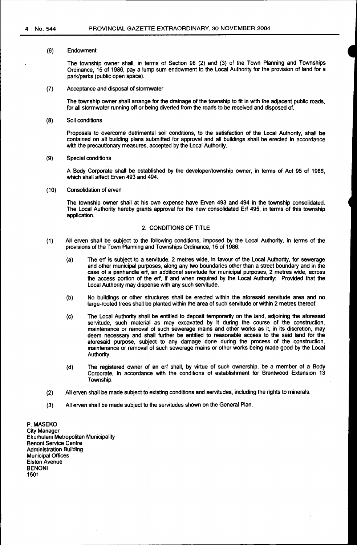#### (6) Endowment

The township owner shall, in terms of Section 98 (2) and (3) of the Town Planning and Townships Ordinance, 15 of 1986, pay a lump sum endowment to the Local Authority for the provision of land for a park/parks (public open space).

(7) Acceptance and disposal of stormwater

The township owner shall arrange for the drainage of the township to fit in with the adjacent public roads, for all stormwater running off or being diverted from the roads to be received and disposed of.

(8) Soil conditions

Proposals to overcome detrimental soil conditions, to the satisfaction of the local Authority, shall be contained on all building plans submitted for approval and all buildings shall be erected in accordance with the precautionary measures, accepted by the local Authority.

(9) Special conditions

A Body Corporate shall be established by the developer/township owner, in terms of Act 95 of 1986, which shall affect Erven 493 and 494

(10) Consolidation of erven

The township owner shall at his own expense have Erven 493 and 494 in the township consolidated. The Local Authority hereby grants approval for the new consolidated Erf 495, in terms of this township application.

### 2. CONDITIONS OF TITLE

- (1) All erven shall be subject to the following conditions, imposed by the Local Authority, in terms of the provisions of the Town Planning and Townships Ordinance, 15 of 1986:
	- (a) The erf is subject to a servitude, 2 metres wide, in favour of the Local Authority, for sewerage and other municipal purposes, along any two boundaries other than a street boundary and in the case of a panhandle erf, an additional servitude for municipal purposes, 2 metres wide, across the access portion of the erf, if and when required by the Local Authority: Provided that the Local Authority may dispense with any such servitude.
	- (b) No buildings or other structures shall be erected within the aforesaid servitude area and no large-rooted trees shall be planted within the area of such servitude or within 2 metres thereof.
	- (c) The Local Authority shall be entitled to deposit temporarily on the land, adjoining the aforesaid servitude, such material as may excavated by it during the course of the construction, maintenance or removal of such sewerage mains and other works as it, in its discretion, may deem necessary and shall further be entitled to reasonable access to the said land for the aforesaid purpose, subject to any damage done during the process of the construction, maintenance or removal of such sewerage mains or other works being made good by the Local Authority.
	- (d) The registered owner of an erf shall, by virtue of such ownership, be a member of a Body Corporate, in accordance with the conditions of establishment for Brentwood Extension 13 Township.
- (2) All erven shall be made subject to existing conditions and servitudes, including the rights to minerals.
- (3) All erven shall be made subject to the servitudes shown on the General Plan.

P. MASEKO City Manager Ekurhuleni Metropolitan Municipality Benoni Service Centre Administration Building Municipal Offices Elston Avenue **BENONI** 1501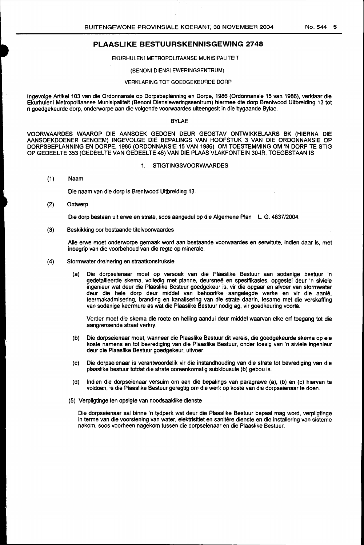#### EKURHULENI METROPOLITAANSE MUNISIPALITEIT

#### (BENONI DIENSLEWERINGSENTRUM)

#### VERKLARING TOT GOEDGEKEURDE DORP

lngevolge Artike1103 van die Ordonnansie op Dorpsbeplanning en Dorpe, 1986 (Ordonnansie 15 van 1986), verklaar die Ekurhuleni Metropolitaanse Munisipaliteit (Benoni Diensleweringssentrum) hiermee die dorp Brentwood Uitbreiding 13 tot n goedgekeurde dorp, onderworpe aan die volgende voorwaardes uiteengesit in die bygaande Bylae.

## BYLAE

VOORWAARDES WAAROP DIE AANSOEK GEDOEN DEUR GEOSTAV ONTWIKKELAARS BK (HIERNA DIE AANSOEKDOENER GENOEM) INGEVOLGE DIE BEPALINGS VAN HOOFSTUK 3 VAN DIE ORDONNANSIE OP DORPSBEPLANNING EN DORPE, 1986 (ORDONNANSIE 15 VAN 1986), OM TOESTEMMING OM 'N DORP TE STIG OP GEDEELTE 353 (GEDEELTE VAN GEDEELTE 45) VAN DIE PLAAS VLAKFONTEIN 30-IR, TOEGESTAAN IS

#### 1. STIGTINGSVOORWAARDES

#### (1) Naam

Die naam van die dorp is Brentwood Uitbreiding 13.

(2) Ontwerp

Die dorp bestaan uit erwe en strate, soos aangedui op die Algemene Plan L. G. 4837/2004.

(3) Beskikking oor bestaande titelvoorwaardes

Aile erwe moet onderworpe gemaak word aan bestaande voorwaardes en serwitute, indien daar is, met inbegrip van die voorbehoud van die regte op minerale.

- (4) Stormwater dreinering en straatkonstruksie
	- (a) Die dorpseienaar moet op versoek van die Plaaslike Bestuur aan sodanige bestuur 'n gedetailleerde skema, volledig met planne, deursnee en spesifikasies, opgestel deur 'n siviele ingenieur wat deur die Plaaslike Bestuur goedgekeur is, vir die opgaar en afvoer van stormwater deur die hele dorp deur middel van behoorlike aangelegde werke en vir die aanle, teermakadmisering, branding en kanalisering van die strate daarin, tesame met die verskaffing van sodanige keermure as wat die Plaaslike Bestuur nodig ag, vir goedkeuring voorle.

Verder moet die skema die roete en helling aandui deur middel waarvan elke erf toegang tot die aangrensende straat verkry.

- (b) Die dorpseienaar moet, wanneer die Plaaslike Bestuur dit vereis, die goedgekeurde skema op eie koste namens en tot bevrediging van die Plaaslike Bestuur, onder toesig van 'n siviele ingenieur deur die Plaaslike Bestuur goedgekeur, uitvoer.
- (c) Die dorpseienaar is verantwoordelik vir die instandhouding van die strate tot bevrediging van die plaaslike bestuur totdat die strate ooreenkomstig subklousule (b) gebou is.
- (d) lndien die dorpseienaar versuim om aan die bepalings van paragrawe (a), (b) en (c) hiervan te voldoen, is die Plaaslike Bestuur geregtig om die werk op koste van die dorpseienaar te doen.
- (5) Verpligtinge ten opsigte van noodsaaklike dienste

Die dorpseienaar sal binne 'n tydperk wat deur die Plaaslike Bestuur bepaal mag word, verpligtinge in terme van die voorsiening van water, elektrisitiet en sanitere dienste en die installering van sisteme nakom, soos voorheen nagekom tussen die dorpseienaar en die Plaaslike Bestuur.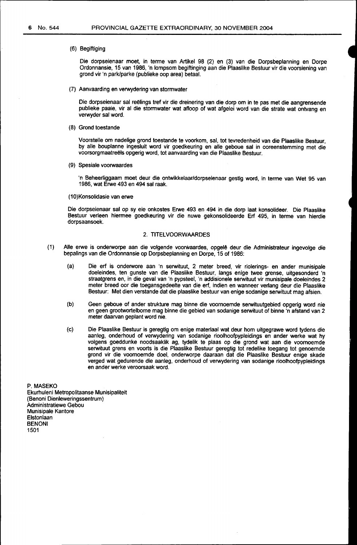#### (6) Begiftiging

Die dorpseienaar moet, in terme van Artikel 98 (2) en (3) van die Dorpsbeplanning en Dorpe Ordonnansie, 15 van 1986, 'n lompsom begiftinging aan die Plaaslike Bestuur vir die voorsiening van grand vir 'n park/parke (publieke oop area) betaal.

(7) Aanvaarding en verwydering van stormwater

Die dorpseienaar sal reëlings tref vir die dreinering van die dorp om in te pas met die aangrensende publieke paaie, vir al die stormwater wat afloop of wat afgelei word van die strate wat ontvang en verwyder sal word.

(8) Grond toestande

Voorstelle om nadelige grand toestande te voorkom, sal, tot tevredenheid van die Plaaslike Bestuur, by aile bouplanne ingesluit word vir goedkeuring en aile geboue sal in ooreenstemming met die voorsorgmaatreëls opgerig word, tot aanvaarding van die Plaaslike Bestuur.

(9) Spesiale voorwaardes

'n Beheerliggaam moet deur die ontwikkelaar/dorpseienaar gestig word, in terme van Wet 95 van 1986, wat Erwe 493 en 494 sal raak.

#### (10)Konsolidasie van erwe

Die dorpseienaar sal op sy eie onkostes Erwe 493 en 494 in die dorp laat konsolideer. Die Plaaslike Bestuur verleen hiermee goedkeuring vir die nuwe gekonsolideerde Erf 495, in terme van hierdie dorpsaansoek.

### 2. TITELVOORWAARDES

- (1) Alle erwe is onderworpe aan die volgende voorwaardes, opgelê deur die Administrateur ingevolge die bepalings van die Ordonnansie op Dorpsbeplanning en Dorpe, 15 of 1986:
	- (a) Die erf is onderwore aan 'n serwituut, 2 meter breed, vir riolerings- en ander munisipale doeleindes, ten gunste van die Plaaslike Bestuur, fangs enige twee grense, uitgesonderd 'n straatgrens en, in die geval van 'n pypsteel, 'n addisionele serwituut vir munisipale doeleindes 2 meter breed oor die toegansgedeelte van die erf, indien en wanneer verlang deur die Plaaslike Bestuur: Met dien verstande dat die plaaslike bestuur van enige sodanige serwituut mag afsien.
	- (b) Geen geboue of ander strukture mag binne die voornoemde serwituutgebied opgerig word nie en geen grootwortelbome mag binne die gebied van sodanige serwituut of binne 'n afstand van 2 meter daarvan geplant word nie.
	- (c) Die Plaaslike Bestuur is geregtig om enige materiaal wat deur hom uitgegrawe word tydens die aanleg, onderhoud of verwydering van sodanige rioolhoofpypleidings en ander werke wat hy volgens goeddunke noodsaaklik ag, tydelik te plaas op die grand wat aan die voornoemde serwituut grens en voorts is die Plaaslike Bestuur geregtig tot redelike toegang tot genoemde grond vir die voornoemde doe!, onderworpe daaraan dat die Plaaslike Bestuur enige skade verged wat gedurende die aanleg, onderhoud of verwydering van sodanige rioofhoofpypleidings en ander werke veroorsaak word.

P. MASEKO

Ekurhuleni Metropolitaanse Munisipaliteit (Benoni Dienleweringssentrum) Administratiewe Gebou Munisipale Kantore Elstonlaan BENONI 1501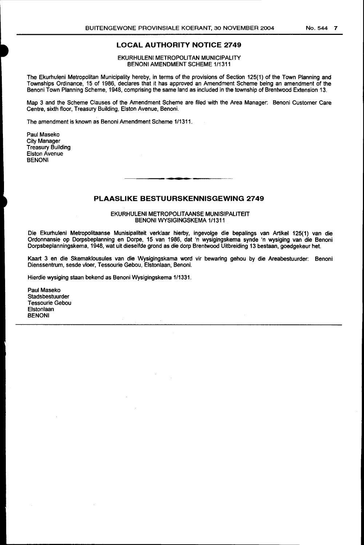## **LOCAL AUTHORITY NOTICE 2749**

EKURHULENI METROPOLITAN MUNICIPALITY BENONI AMENDMENT SCHEME 1/1311

The Ekurhuleni Metropolitan Municipality hereby, in terms of the provisions of Section 125(1) of the Town Planning and Townships Ordinance, 15 of 1986, declares that it has approved an Amendment Scheme being an amendment of the Benoni Town Planning Scheme, 1948, comprising the same land as included in the township of Brentwood Extension 13.

Map 3 and the Scheme Clauses of the Amendment Scheme are filed with the Area Manager: Benoni Customer Care Centre, sixth floor, Treasury Building, Elston Avenue, Benoni.

The amendment is known as Benoni Amendment Scheme 1/1311.

Paul Maseko City Manager Treasury Building Elston Avenue BENONI

## **PLAASLIKE BESTUURSKENNISGEWING 2749**

EKURHULENI METROPOLITAANSE MUNISIPALITEIT BENONI WYSIGINGSKEMA 1/1311

Die Ekurhuleni Metropolitaanse Munisipaliteit verklaar hierby, ingevolge die bepalings van Artikel 125(1) van die Ordonnansie op Dorpsbeplanning en Dorpe, 15 van 1986, dat 'n wysigingskema synde 'n wysiging van die Benoni Dorpsbeplanningskema, 1948, wat uit dieselfde grand as die dorp Brentwood Uitbreiding 13 bestaan, goedgekeur het.

Kaart 3 en die Skemaklousules van die Wysigingskama word vir bewaring gehou by die Areabestuurder: Benoni Dienssentrum, sesde vloer, Tessourie Gebou, Elstonlaan, Benoni.

Hierdie wysiging staan bekend as Benoni Wysigingskema 1/1331.

Paul Maseko **Stadsbestuurder** Tessourie Gebou Elstonlaan BENONI